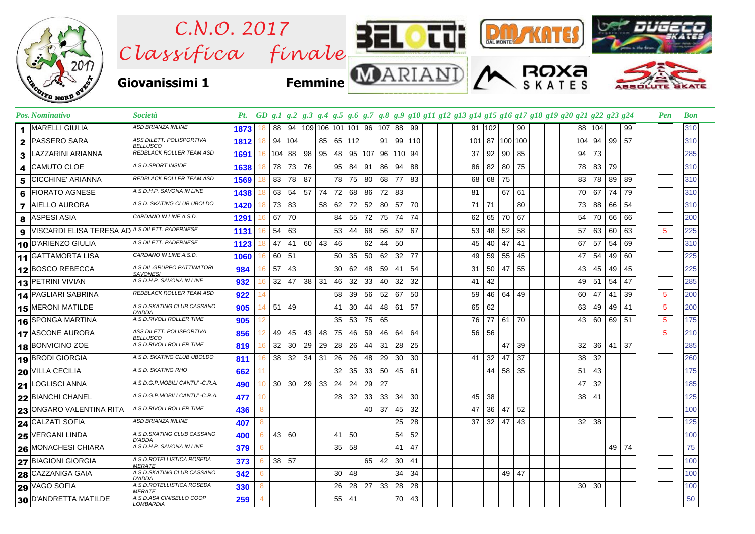